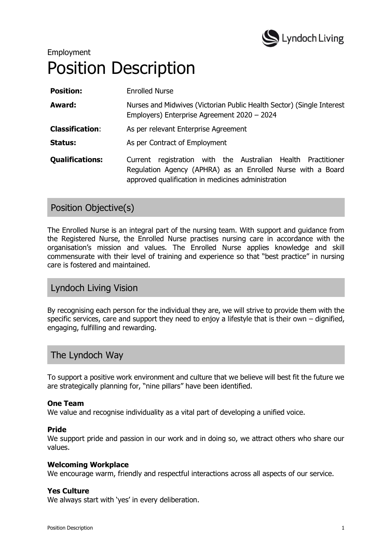

# Employment Position Description

| <b>Position:</b>       | <b>Enrolled Nurse</b>                                                                                                                                                                |
|------------------------|--------------------------------------------------------------------------------------------------------------------------------------------------------------------------------------|
| Award:                 | Nurses and Midwives (Victorian Public Health Sector) (Single Interest<br>Employers) Enterprise Agreement 2020 - 2024                                                                 |
| <b>Classification:</b> | As per relevant Enterprise Agreement                                                                                                                                                 |
| Status:                | As per Contract of Employment                                                                                                                                                        |
| <b>Qualifications:</b> | registration with the Australian Health Practitioner<br>Current<br>Regulation Agency (APHRA) as an Enrolled Nurse with a Board<br>approved qualification in medicines administration |

# Position Objective(s)

The Enrolled Nurse is an integral part of the nursing team. With support and guidance from the Registered Nurse, the Enrolled Nurse practises nursing care in accordance with the organisation's mission and values. The Enrolled Nurse applies knowledge and skill commensurate with their level of training and experience so that "best practice" in nursing care is fostered and maintained.

# Lyndoch Living Vision

By recognising each person for the individual they are, we will strive to provide them with the specific services, care and support they need to enjoy a lifestyle that is their own – dignified, engaging, fulfilling and rewarding.

# The Lyndoch Way

To support a positive work environment and culture that we believe will best fit the future we are strategically planning for, "nine pillars" have been identified.

## **One Team**

We value and recognise individuality as a vital part of developing a unified voice.

#### **Pride**

We support pride and passion in our work and in doing so, we attract others who share our values.

#### **Welcoming Workplace**

We encourage warm, friendly and respectful interactions across all aspects of our service.

#### **Yes Culture**

We always start with 'yes' in every deliberation.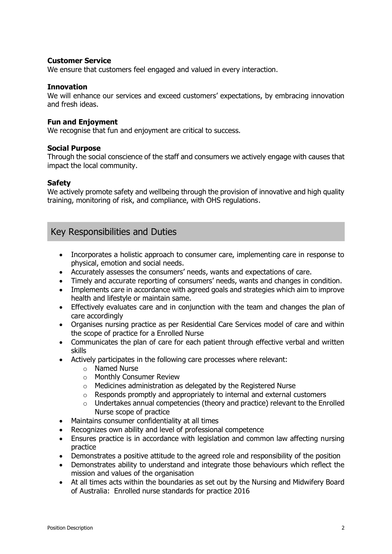#### **Customer Service**

We ensure that customers feel engaged and valued in every interaction.

#### **Innovation**

We will enhance our services and exceed customers' expectations, by embracing innovation and fresh ideas.

#### **Fun and Enjoyment**

We recognise that fun and enjoyment are critical to success.

#### **Social Purpose**

Through the social conscience of the staff and consumers we actively engage with causes that impact the local community.

#### **Safety**

We actively promote safety and wellbeing through the provision of innovative and high quality training, monitoring of risk, and compliance, with OHS regulations.

## Key Responsibilities and Duties

- Incorporates a holistic approach to consumer care, implementing care in response to physical, emotion and social needs.
- Accurately assesses the consumers' needs, wants and expectations of care.
- Timely and accurate reporting of consumers' needs, wants and changes in condition.
- Implements care in accordance with agreed goals and strategies which aim to improve health and lifestyle or maintain same.
- Effectively evaluates care and in conjunction with the team and changes the plan of care accordingly
- Organises nursing practice as per Residential Care Services model of care and within the scope of practice for a Enrolled Nurse
- Communicates the plan of care for each patient through effective verbal and written skills
- Actively participates in the following care processes where relevant:
	- o Named Nurse
	- o Monthly Consumer Review
	- $\circ$  Medicines administration as delegated by the Registered Nurse
	- o Responds promptly and appropriately to internal and external customers
	- $\circ$  Undertakes annual competencies (theory and practice) relevant to the Enrolled Nurse scope of practice
- Maintains consumer confidentiality at all times
- Recognizes own ability and level of professional competence
- Ensures practice is in accordance with legislation and common law affecting nursing practice
- Demonstrates a positive attitude to the agreed role and responsibility of the position
- Demonstrates ability to understand and integrate those behaviours which reflect the mission and values of the organisation
- At all times acts within the boundaries as set out by the Nursing and Midwifery Board of Australia: Enrolled nurse standards for practice 2016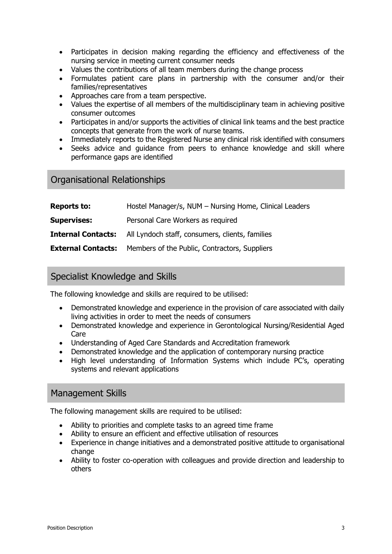- Participates in decision making regarding the efficiency and effectiveness of the nursing service in meeting current consumer needs
- Values the contributions of all team members during the change process
- Formulates patient care plans in partnership with the consumer and/or their families/representatives
- Approaches care from a team perspective.
- Values the expertise of all members of the multidisciplinary team in achieving positive consumer outcomes
- Participates in and/or supports the activities of clinical link teams and the best practice concepts that generate from the work of nurse teams.
- Immediately reports to the Registered Nurse any clinical risk identified with consumers
- Seeks advice and guidance from peers to enhance knowledge and skill where performance gaps are identified

## Organisational Relationships

| <b>Reports to:</b> | Hostel Manager/s, NUM - Nursing Home, Clinical Leaders                    |  |
|--------------------|---------------------------------------------------------------------------|--|
| <b>Supervises:</b> | Personal Care Workers as required                                         |  |
|                    | <b>Internal Contacts:</b> All Lyndoch staff, consumers, clients, families |  |
|                    | <b>External Contacts:</b> Members of the Public, Contractors, Suppliers   |  |

## Specialist Knowledge and Skills

The following knowledge and skills are required to be utilised:

- Demonstrated knowledge and experience in the provision of care associated with daily living activities in order to meet the needs of consumers
- Demonstrated knowledge and experience in Gerontological Nursing/Residential Aged Care
- Understanding of Aged Care Standards and Accreditation framework
- Demonstrated knowledge and the application of contemporary nursing practice
- High level understanding of Information Systems which include PC's, operating systems and relevant applications

## Management Skills

The following management skills are required to be utilised:

- Ability to priorities and complete tasks to an agreed time frame
- Ability to ensure an efficient and effective utilisation of resources
- Experience in change initiatives and a demonstrated positive attitude to organisational change
- Ability to foster co-operation with colleagues and provide direction and leadership to others